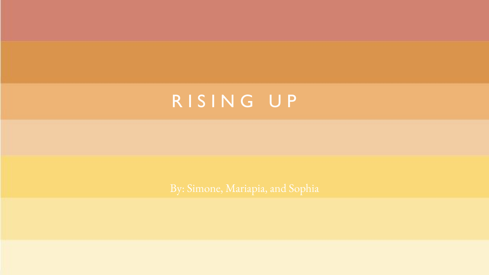# R I S I N G U P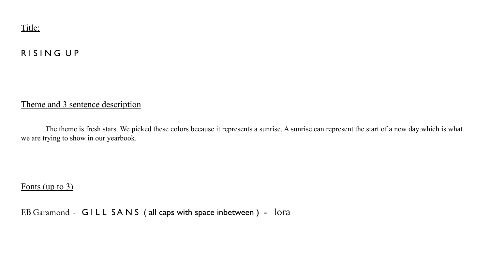

### R I S I N G U P

#### Theme and 3 sentence description

The theme is fresh stars. We picked these colors because it represents a sunrise. A sunrise can represent the start of a new day which is what we are trying to show in our yearbook.

#### Fonts (up to 3)

EB Garamond - GILL SANS (all caps with space inbetween) - lora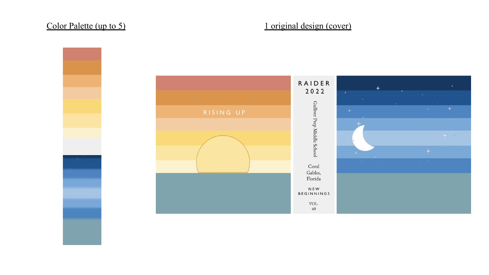

### Color Palette (up to 5) 1 original design (cover)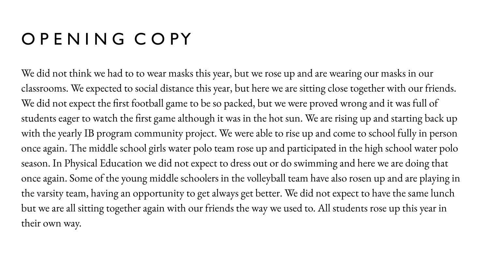## O P E N I N G C O PY

We did not think we had to to wear masks this year, but we rose up and are wearing our masks in our classrooms. We expected to social distance this year, but here we are sitting close together with our friends. We did not expect the first football game to be so packed, but we were proved wrong and it was full of students eager to watch the first game although it was in the hot sun. We are rising up and starting back up with the yearly IB program community project. We were able to rise up and come to school fully in person once again. The middle school girls water polo team rose up and participated in the high school water polo season. In Physical Education we did not expect to dress out or do swimming and here we are doing that once again. Some of the young middle schoolers in the volleyball team have also rosen up and are playing in the varsity team, having an opportunity to get always get better. We did not expect to have the same lunch but we are all sitting together again with our friends the way we used to. All students rose up this year in their own way.